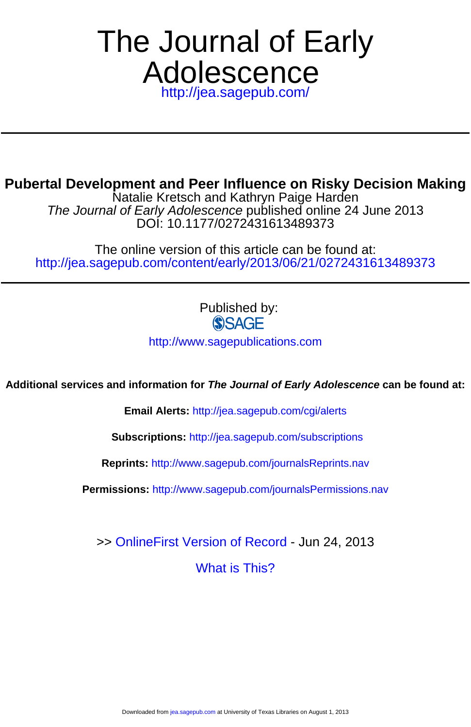# <http://jea.sagepub.com/> Adolescence The Journal of Early

**Pubertal Development and Peer Influence on Risky Decision Making**

DOI: 10.1177/0272431613489373 The Journal of Early Adolescence published online 24 June 2013 Natalie Kretsch and Kathryn Paige Harden

<http://jea.sagepub.com/content/early/2013/06/21/0272431613489373> The online version of this article can be found at:

Published by:<br>
SAGE

<http://www.sagepublications.com>

**Additional services and information for The Journal of Early Adolescence can be found at:**

**Email Alerts:** <http://jea.sagepub.com/cgi/alerts>

**Subscriptions:** <http://jea.sagepub.com/subscriptions>

**Reprints:** <http://www.sagepub.com/journalsReprints.nav>

**Permissions:** <http://www.sagepub.com/journalsPermissions.nav>

>> [OnlineFirst Version of Record -](http://jea.sagepub.com/content/early/2013/06/21/0272431613489373.full.pdf) Jun 24, 2013

[What is This?](http://online.sagepub.com/site/sphelp/vorhelp.xhtml)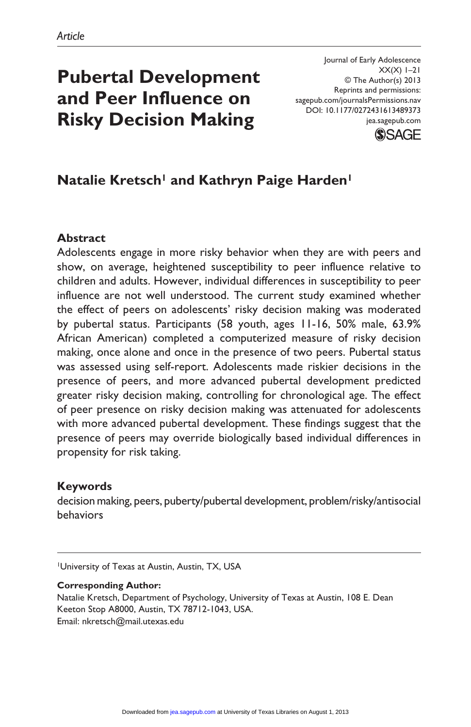## **Pubertal Development and Peer Influence on Risky Decision Making**

Journal of Early Adolescence  $XX(X)$  1–21 © The Author(s) 2013 Reprints and permissions: sagepub.com/journalsPermissions.nav DOI: 10.1177/0272431613489373 jea.sagepub.com



## **Natalie Kretsch<sup>1</sup> and Kathryn Paige Harden<sup>1</sup>**

## **Abstract**

Adolescents engage in more risky behavior when they are with peers and show, on average, heightened susceptibility to peer influence relative to children and adults. However, individual differences in susceptibility to peer influence are not well understood. The current study examined whether the effect of peers on adolescents' risky decision making was moderated by pubertal status. Participants (58 youth, ages 11-16, 50% male, 63.9% African American) completed a computerized measure of risky decision making, once alone and once in the presence of two peers. Pubertal status was assessed using self-report. Adolescents made riskier decisions in the presence of peers, and more advanced pubertal development predicted greater risky decision making, controlling for chronological age. The effect of peer presence on risky decision making was attenuated for adolescents with more advanced pubertal development. These findings suggest that the presence of peers may override biologically based individual differences in propensity for risk taking.

## **Keywords**

decision making, peers, puberty/pubertal development, problem/risky/antisocial behaviors

1University of Texas at Austin, Austin, TX, USA

#### **Corresponding Author:**

Natalie Kretsch, Department of Psychology, University of Texas at Austin, 108 E. Dean Keeton Stop A8000, Austin, TX 78712-1043, USA. Email: nkretsch@mail.utexas.edu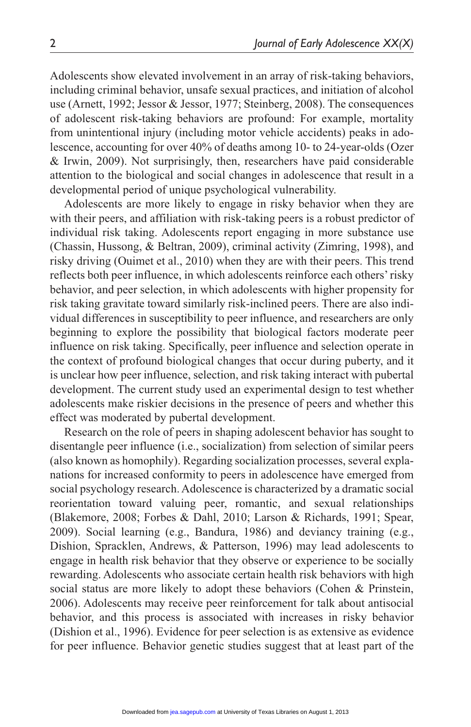Adolescents show elevated involvement in an array of risk-taking behaviors, including criminal behavior, unsafe sexual practices, and initiation of alcohol use (Arnett, 1992; Jessor & Jessor, 1977; Steinberg, 2008). The consequences of adolescent risk-taking behaviors are profound: For example, mortality from unintentional injury (including motor vehicle accidents) peaks in adolescence, accounting for over 40% of deaths among 10- to 24-year-olds (Ozer & Irwin, 2009). Not surprisingly, then, researchers have paid considerable attention to the biological and social changes in adolescence that result in a developmental period of unique psychological vulnerability.

Adolescents are more likely to engage in risky behavior when they are with their peers, and affiliation with risk-taking peers is a robust predictor of individual risk taking. Adolescents report engaging in more substance use (Chassin, Hussong, & Beltran, 2009), criminal activity (Zimring, 1998), and risky driving (Ouimet et al., 2010) when they are with their peers. This trend reflects both peer influence, in which adolescents reinforce each others' risky behavior, and peer selection, in which adolescents with higher propensity for risk taking gravitate toward similarly risk-inclined peers. There are also individual differences in susceptibility to peer influence, and researchers are only beginning to explore the possibility that biological factors moderate peer influence on risk taking. Specifically, peer influence and selection operate in the context of profound biological changes that occur during puberty, and it is unclear how peer influence, selection, and risk taking interact with pubertal development. The current study used an experimental design to test whether adolescents make riskier decisions in the presence of peers and whether this effect was moderated by pubertal development.

Research on the role of peers in shaping adolescent behavior has sought to disentangle peer influence (i.e., socialization) from selection of similar peers (also known as homophily). Regarding socialization processes, several explanations for increased conformity to peers in adolescence have emerged from social psychology research. Adolescence is characterized by a dramatic social reorientation toward valuing peer, romantic, and sexual relationships (Blakemore, 2008; Forbes & Dahl, 2010; Larson & Richards, 1991; Spear, 2009). Social learning (e.g., Bandura, 1986) and deviancy training (e.g., Dishion, Spracklen, Andrews, & Patterson, 1996) may lead adolescents to engage in health risk behavior that they observe or experience to be socially rewarding. Adolescents who associate certain health risk behaviors with high social status are more likely to adopt these behaviors (Cohen & Prinstein, 2006). Adolescents may receive peer reinforcement for talk about antisocial behavior, and this process is associated with increases in risky behavior (Dishion et al., 1996). Evidence for peer selection is as extensive as evidence for peer influence. Behavior genetic studies suggest that at least part of the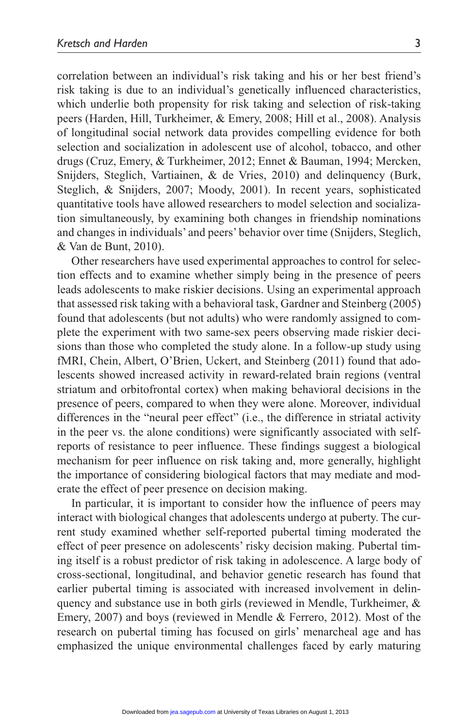correlation between an individual's risk taking and his or her best friend's risk taking is due to an individual's genetically influenced characteristics, which underlie both propensity for risk taking and selection of risk-taking peers (Harden, Hill, Turkheimer, & Emery, 2008; Hill et al., 2008). Analysis of longitudinal social network data provides compelling evidence for both selection and socialization in adolescent use of alcohol, tobacco, and other drugs (Cruz, Emery, & Turkheimer, 2012; Ennet & Bauman, 1994; Mercken, Snijders, Steglich, Vartiainen, & de Vries, 2010) and delinquency (Burk, Steglich, & Snijders, 2007; Moody, 2001). In recent years, sophisticated quantitative tools have allowed researchers to model selection and socialization simultaneously, by examining both changes in friendship nominations and changes in individuals' and peers' behavior over time (Snijders, Steglich, & Van de Bunt, 2010).

Other researchers have used experimental approaches to control for selection effects and to examine whether simply being in the presence of peers leads adolescents to make riskier decisions. Using an experimental approach that assessed risk taking with a behavioral task, Gardner and Steinberg (2005) found that adolescents (but not adults) who were randomly assigned to complete the experiment with two same-sex peers observing made riskier decisions than those who completed the study alone. In a follow-up study using fMRI, Chein, Albert, O'Brien, Uckert, and Steinberg (2011) found that adolescents showed increased activity in reward-related brain regions (ventral striatum and orbitofrontal cortex) when making behavioral decisions in the presence of peers, compared to when they were alone. Moreover, individual differences in the "neural peer effect" (i.e., the difference in striatal activity in the peer vs. the alone conditions) were significantly associated with selfreports of resistance to peer influence. These findings suggest a biological mechanism for peer influence on risk taking and, more generally, highlight the importance of considering biological factors that may mediate and moderate the effect of peer presence on decision making.

In particular, it is important to consider how the influence of peers may interact with biological changes that adolescents undergo at puberty. The current study examined whether self-reported pubertal timing moderated the effect of peer presence on adolescents' risky decision making. Pubertal timing itself is a robust predictor of risk taking in adolescence. A large body of cross-sectional, longitudinal, and behavior genetic research has found that earlier pubertal timing is associated with increased involvement in delinquency and substance use in both girls (reviewed in Mendle, Turkheimer, & Emery, 2007) and boys (reviewed in Mendle & Ferrero, 2012). Most of the research on pubertal timing has focused on girls' menarcheal age and has emphasized the unique environmental challenges faced by early maturing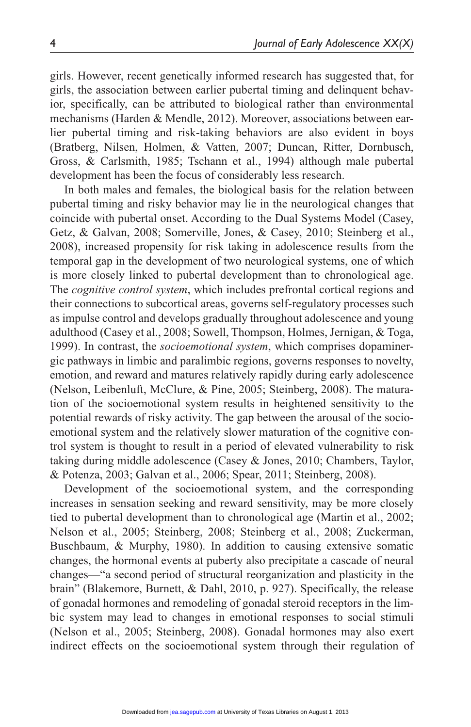girls. However, recent genetically informed research has suggested that, for girls, the association between earlier pubertal timing and delinquent behavior, specifically, can be attributed to biological rather than environmental mechanisms (Harden & Mendle, 2012). Moreover, associations between earlier pubertal timing and risk-taking behaviors are also evident in boys (Bratberg, Nilsen, Holmen, & Vatten, 2007; Duncan, Ritter, Dornbusch, Gross, & Carlsmith, 1985; Tschann et al., 1994) although male pubertal development has been the focus of considerably less research.

In both males and females, the biological basis for the relation between pubertal timing and risky behavior may lie in the neurological changes that coincide with pubertal onset. According to the Dual Systems Model (Casey, Getz, & Galvan, 2008; Somerville, Jones, & Casey, 2010; Steinberg et al., 2008), increased propensity for risk taking in adolescence results from the temporal gap in the development of two neurological systems, one of which is more closely linked to pubertal development than to chronological age. The *cognitive control system*, which includes prefrontal cortical regions and their connections to subcortical areas, governs self-regulatory processes such as impulse control and develops gradually throughout adolescence and young adulthood (Casey et al., 2008; Sowell, Thompson, Holmes, Jernigan, & Toga, 1999). In contrast, the *socioemotional system*, which comprises dopaminergic pathways in limbic and paralimbic regions, governs responses to novelty, emotion, and reward and matures relatively rapidly during early adolescence (Nelson, Leibenluft, McClure, & Pine, 2005; Steinberg, 2008). The maturation of the socioemotional system results in heightened sensitivity to the potential rewards of risky activity. The gap between the arousal of the socioemotional system and the relatively slower maturation of the cognitive control system is thought to result in a period of elevated vulnerability to risk taking during middle adolescence (Casey & Jones, 2010; Chambers, Taylor, & Potenza, 2003; Galvan et al., 2006; Spear, 2011; Steinberg, 2008).

Development of the socioemotional system, and the corresponding increases in sensation seeking and reward sensitivity, may be more closely tied to pubertal development than to chronological age (Martin et al., 2002; Nelson et al., 2005; Steinberg, 2008; Steinberg et al., 2008; Zuckerman, Buschbaum, & Murphy, 1980). In addition to causing extensive somatic changes, the hormonal events at puberty also precipitate a cascade of neural changes—"a second period of structural reorganization and plasticity in the brain" (Blakemore, Burnett, & Dahl, 2010, p. 927). Specifically, the release of gonadal hormones and remodeling of gonadal steroid receptors in the limbic system may lead to changes in emotional responses to social stimuli (Nelson et al., 2005; Steinberg, 2008). Gonadal hormones may also exert indirect effects on the socioemotional system through their regulation of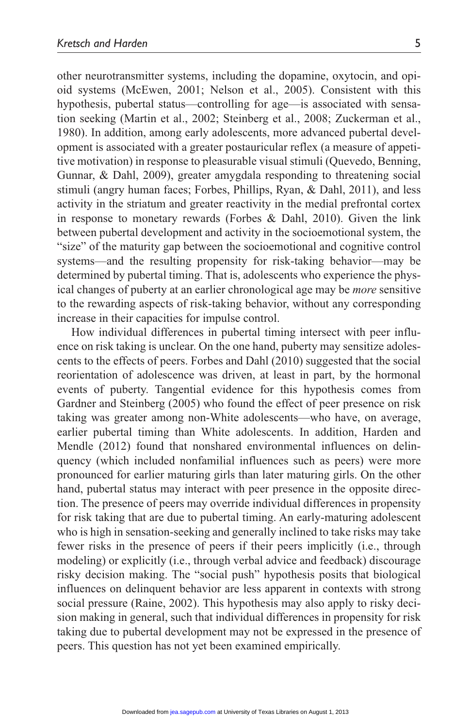other neurotransmitter systems, including the dopamine, oxytocin, and opioid systems (McEwen, 2001; Nelson et al., 2005). Consistent with this hypothesis, pubertal status—controlling for age—is associated with sensation seeking (Martin et al., 2002; Steinberg et al., 2008; Zuckerman et al., 1980). In addition, among early adolescents, more advanced pubertal development is associated with a greater postauricular reflex (a measure of appetitive motivation) in response to pleasurable visual stimuli (Quevedo, Benning, Gunnar, & Dahl, 2009), greater amygdala responding to threatening social stimuli (angry human faces; Forbes, Phillips, Ryan, & Dahl, 2011), and less activity in the striatum and greater reactivity in the medial prefrontal cortex in response to monetary rewards (Forbes & Dahl, 2010). Given the link between pubertal development and activity in the socioemotional system, the "size" of the maturity gap between the socioemotional and cognitive control systems—and the resulting propensity for risk-taking behavior—may be determined by pubertal timing. That is, adolescents who experience the physical changes of puberty at an earlier chronological age may be *more* sensitive to the rewarding aspects of risk-taking behavior, without any corresponding increase in their capacities for impulse control.

How individual differences in pubertal timing intersect with peer influence on risk taking is unclear. On the one hand, puberty may sensitize adolescents to the effects of peers. Forbes and Dahl (2010) suggested that the social reorientation of adolescence was driven, at least in part, by the hormonal events of puberty. Tangential evidence for this hypothesis comes from Gardner and Steinberg (2005) who found the effect of peer presence on risk taking was greater among non-White adolescents—who have, on average, earlier pubertal timing than White adolescents. In addition, Harden and Mendle (2012) found that nonshared environmental influences on delinquency (which included nonfamilial influences such as peers) were more pronounced for earlier maturing girls than later maturing girls. On the other hand, pubertal status may interact with peer presence in the opposite direction. The presence of peers may override individual differences in propensity for risk taking that are due to pubertal timing. An early-maturing adolescent who is high in sensation-seeking and generally inclined to take risks may take fewer risks in the presence of peers if their peers implicitly (i.e., through modeling) or explicitly (i.e., through verbal advice and feedback) discourage risky decision making. The "social push" hypothesis posits that biological influences on delinquent behavior are less apparent in contexts with strong social pressure (Raine, 2002). This hypothesis may also apply to risky decision making in general, such that individual differences in propensity for risk taking due to pubertal development may not be expressed in the presence of peers. This question has not yet been examined empirically.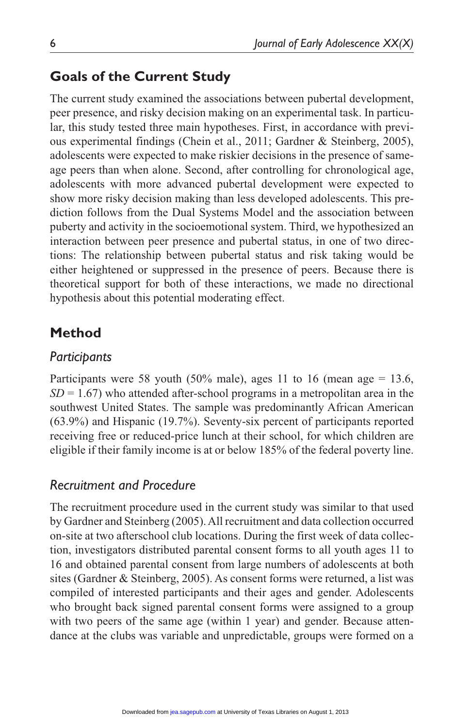## **Goals of the Current Study**

The current study examined the associations between pubertal development, peer presence, and risky decision making on an experimental task. In particular, this study tested three main hypotheses. First, in accordance with previous experimental findings (Chein et al., 2011; Gardner & Steinberg, 2005), adolescents were expected to make riskier decisions in the presence of sameage peers than when alone. Second, after controlling for chronological age, adolescents with more advanced pubertal development were expected to show more risky decision making than less developed adolescents. This prediction follows from the Dual Systems Model and the association between puberty and activity in the socioemotional system. Third, we hypothesized an interaction between peer presence and pubertal status, in one of two directions: The relationship between pubertal status and risk taking would be either heightened or suppressed in the presence of peers. Because there is theoretical support for both of these interactions, we made no directional hypothesis about this potential moderating effect.

## **Method**

## *Participants*

Participants were 58 youth (50% male), ages 11 to 16 (mean age  $= 13.6$ , *SD* = 1.67) who attended after-school programs in a metropolitan area in the southwest United States. The sample was predominantly African American (63.9%) and Hispanic (19.7%). Seventy-six percent of participants reported receiving free or reduced-price lunch at their school, for which children are eligible if their family income is at or below 185% of the federal poverty line.

## *Recruitment and Procedure*

The recruitment procedure used in the current study was similar to that used by Gardner and Steinberg (2005). All recruitment and data collection occurred on-site at two afterschool club locations. During the first week of data collection, investigators distributed parental consent forms to all youth ages 11 to 16 and obtained parental consent from large numbers of adolescents at both sites (Gardner & Steinberg, 2005). As consent forms were returned, a list was compiled of interested participants and their ages and gender. Adolescents who brought back signed parental consent forms were assigned to a group with two peers of the same age (within 1 year) and gender. Because attendance at the clubs was variable and unpredictable, groups were formed on a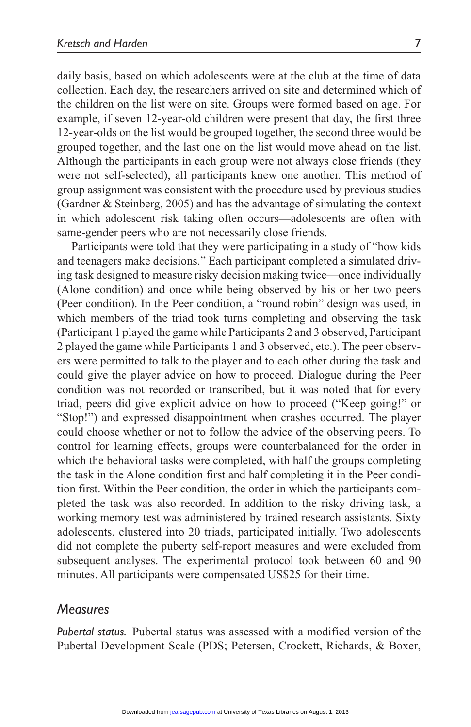daily basis, based on which adolescents were at the club at the time of data collection. Each day, the researchers arrived on site and determined which of the children on the list were on site. Groups were formed based on age. For example, if seven 12-year-old children were present that day, the first three 12-year-olds on the list would be grouped together, the second three would be grouped together, and the last one on the list would move ahead on the list. Although the participants in each group were not always close friends (they were not self-selected), all participants knew one another. This method of group assignment was consistent with the procedure used by previous studies (Gardner & Steinberg, 2005) and has the advantage of simulating the context in which adolescent risk taking often occurs—adolescents are often with same-gender peers who are not necessarily close friends.

Participants were told that they were participating in a study of "how kids and teenagers make decisions." Each participant completed a simulated driving task designed to measure risky decision making twice—once individually (Alone condition) and once while being observed by his or her two peers (Peer condition). In the Peer condition, a "round robin" design was used, in which members of the triad took turns completing and observing the task (Participant 1 played the game while Participants 2 and 3 observed, Participant 2 played the game while Participants 1 and 3 observed, etc.). The peer observers were permitted to talk to the player and to each other during the task and could give the player advice on how to proceed. Dialogue during the Peer condition was not recorded or transcribed, but it was noted that for every triad, peers did give explicit advice on how to proceed ("Keep going!" or "Stop!") and expressed disappointment when crashes occurred. The player could choose whether or not to follow the advice of the observing peers. To control for learning effects, groups were counterbalanced for the order in which the behavioral tasks were completed, with half the groups completing the task in the Alone condition first and half completing it in the Peer condition first. Within the Peer condition, the order in which the participants completed the task was also recorded. In addition to the risky driving task, a working memory test was administered by trained research assistants. Sixty adolescents, clustered into 20 triads, participated initially. Two adolescents did not complete the puberty self-report measures and were excluded from subsequent analyses. The experimental protocol took between 60 and 90 minutes. All participants were compensated US\$25 for their time.

#### *Measures*

*Pubertal status.* Pubertal status was assessed with a modified version of the Pubertal Development Scale (PDS; Petersen, Crockett, Richards, & Boxer,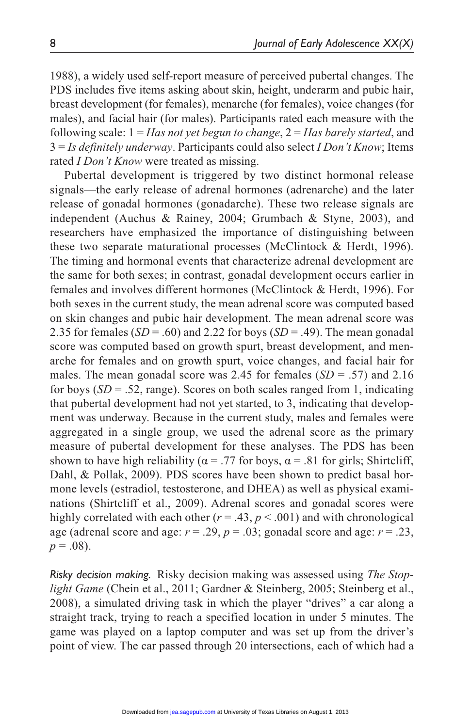1988), a widely used self-report measure of perceived pubertal changes. The PDS includes five items asking about skin, height, underarm and pubic hair, breast development (for females), menarche (for females), voice changes (for males), and facial hair (for males). Participants rated each measure with the following scale: 1 = *Has not yet begun to change*, 2 = *Has barely started*, and 3 = *Is definitely underway*. Participants could also select *I Don't Know*; Items rated *I Don't Know* were treated as missing.

Pubertal development is triggered by two distinct hormonal release signals—the early release of adrenal hormones (adrenarche) and the later release of gonadal hormones (gonadarche). These two release signals are independent (Auchus & Rainey, 2004; Grumbach & Styne, 2003), and researchers have emphasized the importance of distinguishing between these two separate maturational processes (McClintock & Herdt, 1996). The timing and hormonal events that characterize adrenal development are the same for both sexes; in contrast, gonadal development occurs earlier in females and involves different hormones (McClintock & Herdt, 1996). For both sexes in the current study, the mean adrenal score was computed based on skin changes and pubic hair development. The mean adrenal score was 2.35 for females  $(SD = .60)$  and 2.22 for boys  $(SD = .49)$ . The mean gonadal score was computed based on growth spurt, breast development, and menarche for females and on growth spurt, voice changes, and facial hair for males. The mean gonadal score was 2.45 for females  $(SD = .57)$  and 2.16 for boys  $(SD = .52$ , range). Scores on both scales ranged from 1, indicating that pubertal development had not yet started, to 3, indicating that development was underway. Because in the current study, males and females were aggregated in a single group, we used the adrenal score as the primary measure of pubertal development for these analyses. The PDS has been shown to have high reliability ( $\alpha$  = .77 for boys,  $\alpha$  = .81 for girls; Shirtcliff, Dahl, & Pollak, 2009). PDS scores have been shown to predict basal hormone levels (estradiol, testosterone, and DHEA) as well as physical examinations (Shirtcliff et al., 2009). Adrenal scores and gonadal scores were highly correlated with each other ( $r = .43$ ,  $p < .001$ ) and with chronological age (adrenal score and age:  $r = .29$ ,  $p = .03$ ; gonadal score and age:  $r = .23$ ,  $p = .08$ ).

*Risky decision making.* Risky decision making was assessed using *The Stoplight Game* (Chein et al., 2011; Gardner & Steinberg, 2005; Steinberg et al., 2008), a simulated driving task in which the player "drives" a car along a straight track, trying to reach a specified location in under 5 minutes. The game was played on a laptop computer and was set up from the driver's point of view. The car passed through 20 intersections, each of which had a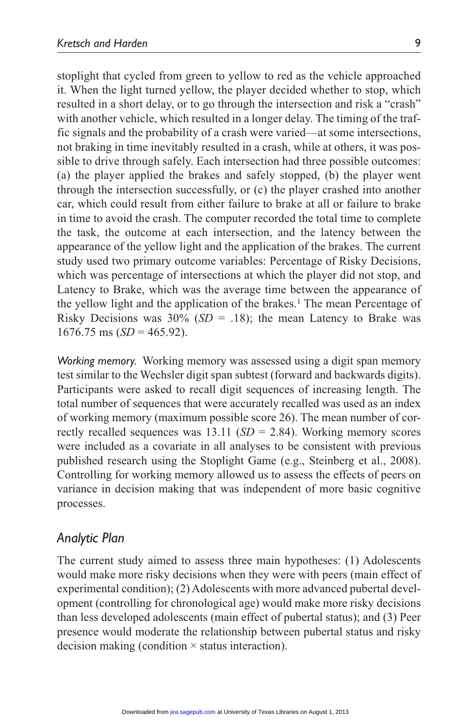stoplight that cycled from green to yellow to red as the vehicle approached it. When the light turned yellow, the player decided whether to stop, which resulted in a short delay, or to go through the intersection and risk a "crash" with another vehicle, which resulted in a longer delay. The timing of the traffic signals and the probability of a crash were varied—at some intersections, not braking in time inevitably resulted in a crash, while at others, it was possible to drive through safely. Each intersection had three possible outcomes: (a) the player applied the brakes and safely stopped, (b) the player went through the intersection successfully, or (c) the player crashed into another car, which could result from either failure to brake at all or failure to brake in time to avoid the crash. The computer recorded the total time to complete the task, the outcome at each intersection, and the latency between the appearance of the yellow light and the application of the brakes. The current study used two primary outcome variables: Percentage of Risky Decisions, which was percentage of intersections at which the player did not stop, and Latency to Brake, which was the average time between the appearance of the yellow light and the application of the brakes.<sup>1</sup> The mean Percentage of Risky Decisions was  $30\%$  (*SD* = .18); the mean Latency to Brake was  $1676.75$  ms  $(SD = 465.92)$ .

*Working memory.* Working memory was assessed using a digit span memory test similar to the Wechsler digit span subtest (forward and backwards digits). Participants were asked to recall digit sequences of increasing length. The total number of sequences that were accurately recalled was used as an index of working memory (maximum possible score 26). The mean number of correctly recalled sequences was  $13.11 \ (SD = 2.84)$ . Working memory scores were included as a covariate in all analyses to be consistent with previous published research using the Stoplight Game (e.g., Steinberg et al., 2008). Controlling for working memory allowed us to assess the effects of peers on variance in decision making that was independent of more basic cognitive processes.

## *Analytic Plan*

The current study aimed to assess three main hypotheses: (1) Adolescents would make more risky decisions when they were with peers (main effect of experimental condition); (2) Adolescents with more advanced pubertal development (controlling for chronological age) would make more risky decisions than less developed adolescents (main effect of pubertal status); and (3) Peer presence would moderate the relationship between pubertal status and risky decision making (condition  $\times$  status interaction).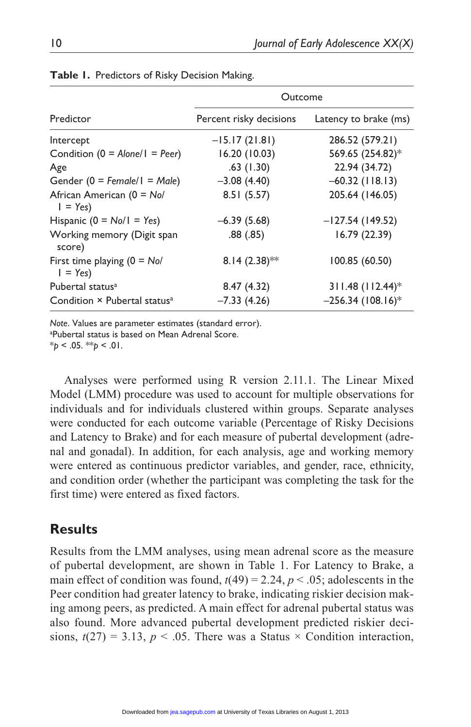|                                            | Outcome                 |                                 |
|--------------------------------------------|-------------------------|---------------------------------|
| Predictor                                  | Percent risky decisions | Latency to brake (ms)           |
| Intercept                                  | $-15.17(21.81)$         | 286.52 (579.21)                 |
| Condition ( $0 =$ Alone/I = Peer)          | 16.20(10.03)            | 569.65 (254.82)*                |
| Age                                        | .63(1.30)               | 22.94 (34.72)                   |
| Gender (0 = Female/1 = Male)               | $-3.08(4.40)$           | $-60.32$ (118.13)               |
| African American (0 = No/<br>$I = Yes$     | 8.51(5.57)              | 205.64 (146.05)                 |
| Hispanic ( $0 = N_0/1 = Yes$ )             | $-6.39(5.68)$           | $-127.54(149.52)$               |
| Working memory (Digit span<br>score)       | .88(.85)                | 16.79 (22.39)                   |
| First time playing $(0 = No/$<br>$I = Yes$ | $8.14(2.38)$ **         | 100.85(60.50)                   |
| Pubertal status <sup>a</sup>               | 8.47(4.32)              | $311.48$ (112.44) <sup>*</sup>  |
| Condition × Pubertal status <sup>a</sup>   | $-7.33(4.26)$           | $-256.34$ (108.16) <sup>*</sup> |

**Table 1.** Predictors of Risky Decision Making.

*Note*. Values are parameter estimates (standard error). a Pubertal status is based on Mean Adrenal Score.  $*_{p}$  < .05. \*\**p* < .01.

Analyses were performed using R version 2.11.1. The Linear Mixed Model (LMM) procedure was used to account for multiple observations for individuals and for individuals clustered within groups. Separate analyses were conducted for each outcome variable (Percentage of Risky Decisions and Latency to Brake) and for each measure of pubertal development (adrenal and gonadal). In addition, for each analysis, age and working memory were entered as continuous predictor variables, and gender, race, ethnicity, and condition order (whether the participant was completing the task for the first time) were entered as fixed factors.

## **Results**

Results from the LMM analyses, using mean adrenal score as the measure of pubertal development, are shown in Table 1. For Latency to Brake, a main effect of condition was found,  $t(49) = 2.24$ ,  $p < .05$ ; adolescents in the Peer condition had greater latency to brake, indicating riskier decision making among peers, as predicted. A main effect for adrenal pubertal status was also found. More advanced pubertal development predicted riskier decisions,  $t(27) = 3.13$ ,  $p < .05$ . There was a Status  $\times$  Condition interaction,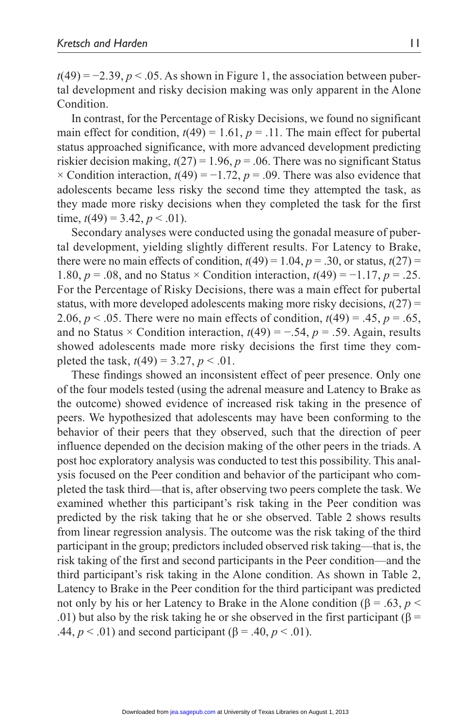$t(49) = -2.39$ ,  $p < .05$ . As shown in Figure 1, the association between pubertal development and risky decision making was only apparent in the Alone Condition.

In contrast, for the Percentage of Risky Decisions, we found no significant main effect for condition,  $t(49) = 1.61$ ,  $p = .11$ . The main effect for pubertal status approached significance, with more advanced development predicting riskier decision making,  $t(27) = 1.96$ ,  $p = .06$ . There was no significant Status  $\times$  Condition interaction,  $t(49) = -1.72$ ,  $p = .09$ . There was also evidence that adolescents became less risky the second time they attempted the task, as they made more risky decisions when they completed the task for the first time,  $t(49) = 3.42$ ,  $p < .01$ ).

Secondary analyses were conducted using the gonadal measure of pubertal development, yielding slightly different results. For Latency to Brake, there were no main effects of condition,  $t(49) = 1.04$ ,  $p = .30$ , or status,  $t(27) =$ 1.80, *p* = .08, and no Status × Condition interaction, *t*(49) = −1.17, *p* = .25. For the Percentage of Risky Decisions, there was a main effect for pubertal status, with more developed adolescents making more risky decisions,  $t(27)$  = 2.06,  $p < .05$ . There were no main effects of condition,  $t(49) = .45$ ,  $p = .65$ , and no Status × Condition interaction,  $t(49) = -.54$ ,  $p = .59$ . Again, results showed adolescents made more risky decisions the first time they completed the task,  $t(49) = 3.27$ ,  $p < .01$ .

These findings showed an inconsistent effect of peer presence. Only one of the four models tested (using the adrenal measure and Latency to Brake as the outcome) showed evidence of increased risk taking in the presence of peers. We hypothesized that adolescents may have been conforming to the behavior of their peers that they observed, such that the direction of peer influence depended on the decision making of the other peers in the triads. A post hoc exploratory analysis was conducted to test this possibility. This analysis focused on the Peer condition and behavior of the participant who completed the task third—that is, after observing two peers complete the task. We examined whether this participant's risk taking in the Peer condition was predicted by the risk taking that he or she observed. Table 2 shows results from linear regression analysis. The outcome was the risk taking of the third participant in the group; predictors included observed risk taking—that is, the risk taking of the first and second participants in the Peer condition—and the third participant's risk taking in the Alone condition. As shown in Table 2, Latency to Brake in the Peer condition for the third participant was predicted not only by his or her Latency to Brake in the Alone condition (β = .63, *p* < .01) but also by the risk taking he or she observed in the first participant ( $\beta$  = .44,  $p < .01$ ) and second participant ( $\beta = .40$ ,  $p < .01$ ).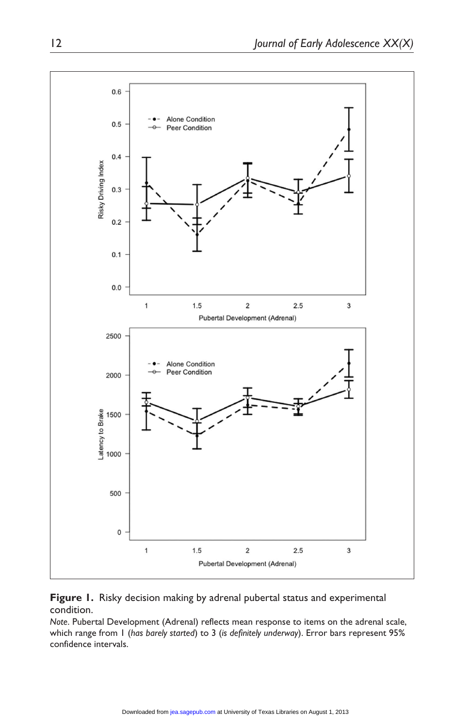

#### **Figure 1.** Risky decision making by adrenal pubertal status and experimental condition.

*Note*. Pubertal Development (Adrenal) reflects mean response to items on the adrenal scale, which range from 1 (*has barely started*) to 3 (*is definitely underway*). Error bars represent 95% confidence intervals.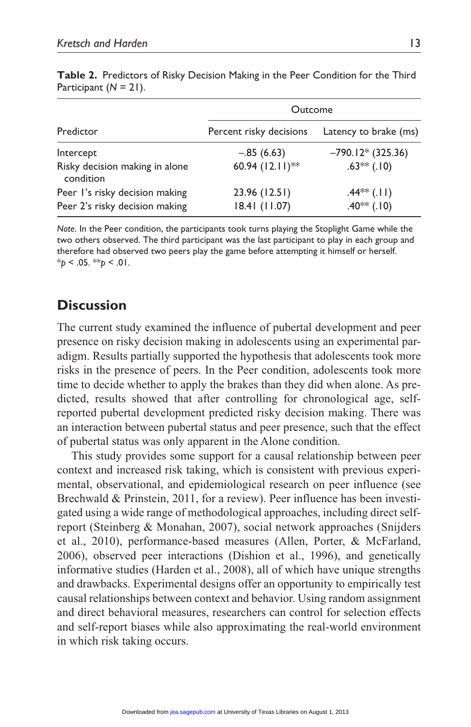| Predictor                                                        | Outcome                       |                                 |
|------------------------------------------------------------------|-------------------------------|---------------------------------|
|                                                                  | Percent risky decisions       | Latency to brake (ms)           |
| Intercept                                                        | $-.85(6.63)$                  | $-790.12*(325.36)$              |
| Risky decision making in alone<br>condition                      | 60.94 (12.11)**               | .63 <sup>**</sup> (.10)         |
| Peer I's risky decision making<br>Peer 2's risky decision making | 23.96 (12.51)<br>18.41(11.07) | $.44**$ (.11)<br>$.40***$ (.10) |

**Table 2.** Predictors of Risky Decision Making in the Peer Condition for the Third Participant (*N* = 21).

*Note*. In the Peer condition, the participants took turns playing the Stoplight Game while the two others observed. The third participant was the last participant to play in each group and therefore had observed two peers play the game before attempting it himself or herself.  $*_{p}$  < .05.  $*_{p}$  < .01.

## **Discussion**

The current study examined the influence of pubertal development and peer presence on risky decision making in adolescents using an experimental paradigm. Results partially supported the hypothesis that adolescents took more risks in the presence of peers. In the Peer condition, adolescents took more time to decide whether to apply the brakes than they did when alone. As predicted, results showed that after controlling for chronological age, selfreported pubertal development predicted risky decision making. There was an interaction between pubertal status and peer presence, such that the effect of pubertal status was only apparent in the Alone condition.

This study provides some support for a causal relationship between peer context and increased risk taking, which is consistent with previous experimental, observational, and epidemiological research on peer influence (see Brechwald & Prinstein, 2011, for a review). Peer influence has been investigated using a wide range of methodological approaches, including direct selfreport (Steinberg & Monahan, 2007), social network approaches (Snijders et al., 2010), performance-based measures (Allen, Porter, & McFarland, 2006), observed peer interactions (Dishion et al., 1996), and genetically informative studies (Harden et al., 2008), all of which have unique strengths and drawbacks. Experimental designs offer an opportunity to empirically test causal relationships between context and behavior. Using random assignment and direct behavioral measures, researchers can control for selection effects and self-report biases while also approximating the real-world environment in which risk taking occurs.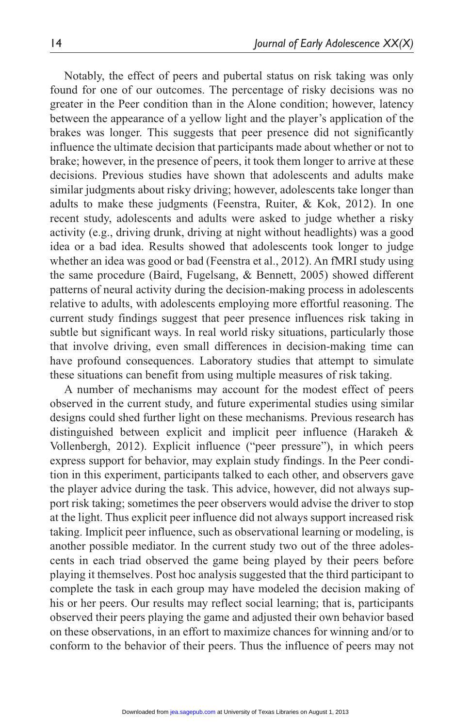Notably, the effect of peers and pubertal status on risk taking was only found for one of our outcomes. The percentage of risky decisions was no greater in the Peer condition than in the Alone condition; however, latency between the appearance of a yellow light and the player's application of the brakes was longer. This suggests that peer presence did not significantly influence the ultimate decision that participants made about whether or not to brake; however, in the presence of peers, it took them longer to arrive at these decisions. Previous studies have shown that adolescents and adults make similar judgments about risky driving; however, adolescents take longer than adults to make these judgments (Feenstra, Ruiter, & Kok, 2012). In one recent study, adolescents and adults were asked to judge whether a risky activity (e.g., driving drunk, driving at night without headlights) was a good idea or a bad idea. Results showed that adolescents took longer to judge whether an idea was good or bad (Feenstra et al., 2012). An fMRI study using the same procedure (Baird, Fugelsang, & Bennett, 2005) showed different patterns of neural activity during the decision-making process in adolescents relative to adults, with adolescents employing more effortful reasoning. The current study findings suggest that peer presence influences risk taking in subtle but significant ways. In real world risky situations, particularly those that involve driving, even small differences in decision-making time can have profound consequences. Laboratory studies that attempt to simulate these situations can benefit from using multiple measures of risk taking.

A number of mechanisms may account for the modest effect of peers observed in the current study, and future experimental studies using similar designs could shed further light on these mechanisms. Previous research has distinguished between explicit and implicit peer influence (Harakeh & Vollenbergh, 2012). Explicit influence ("peer pressure"), in which peers express support for behavior, may explain study findings. In the Peer condition in this experiment, participants talked to each other, and observers gave the player advice during the task. This advice, however, did not always support risk taking; sometimes the peer observers would advise the driver to stop at the light. Thus explicit peer influence did not always support increased risk taking. Implicit peer influence, such as observational learning or modeling, is another possible mediator. In the current study two out of the three adolescents in each triad observed the game being played by their peers before playing it themselves. Post hoc analysis suggested that the third participant to complete the task in each group may have modeled the decision making of his or her peers. Our results may reflect social learning; that is, participants observed their peers playing the game and adjusted their own behavior based on these observations, in an effort to maximize chances for winning and/or to conform to the behavior of their peers. Thus the influence of peers may not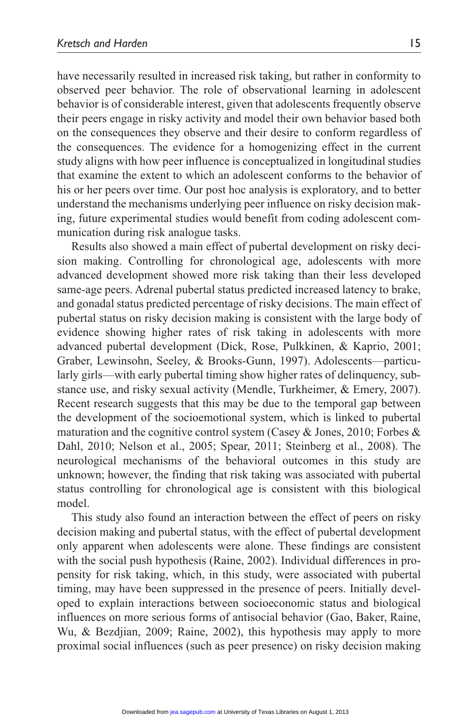have necessarily resulted in increased risk taking, but rather in conformity to observed peer behavior. The role of observational learning in adolescent behavior is of considerable interest, given that adolescents frequently observe their peers engage in risky activity and model their own behavior based both on the consequences they observe and their desire to conform regardless of the consequences. The evidence for a homogenizing effect in the current study aligns with how peer influence is conceptualized in longitudinal studies that examine the extent to which an adolescent conforms to the behavior of his or her peers over time. Our post hoc analysis is exploratory, and to better understand the mechanisms underlying peer influence on risky decision making, future experimental studies would benefit from coding adolescent communication during risk analogue tasks.

Results also showed a main effect of pubertal development on risky decision making. Controlling for chronological age, adolescents with more advanced development showed more risk taking than their less developed same-age peers. Adrenal pubertal status predicted increased latency to brake, and gonadal status predicted percentage of risky decisions. The main effect of pubertal status on risky decision making is consistent with the large body of evidence showing higher rates of risk taking in adolescents with more advanced pubertal development (Dick, Rose, Pulkkinen, & Kaprio, 2001; Graber, Lewinsohn, Seeley, & Brooks-Gunn, 1997). Adolescents—particularly girls—with early pubertal timing show higher rates of delinquency, substance use, and risky sexual activity (Mendle, Turkheimer, & Emery, 2007). Recent research suggests that this may be due to the temporal gap between the development of the socioemotional system, which is linked to pubertal maturation and the cognitive control system (Casey & Jones, 2010; Forbes & Dahl, 2010; Nelson et al., 2005; Spear, 2011; Steinberg et al., 2008). The neurological mechanisms of the behavioral outcomes in this study are unknown; however, the finding that risk taking was associated with pubertal status controlling for chronological age is consistent with this biological model.

This study also found an interaction between the effect of peers on risky decision making and pubertal status, with the effect of pubertal development only apparent when adolescents were alone. These findings are consistent with the social push hypothesis (Raine, 2002). Individual differences in propensity for risk taking, which, in this study, were associated with pubertal timing, may have been suppressed in the presence of peers. Initially developed to explain interactions between socioeconomic status and biological influences on more serious forms of antisocial behavior (Gao, Baker, Raine, Wu, & Bezdjian, 2009; Raine, 2002), this hypothesis may apply to more proximal social influences (such as peer presence) on risky decision making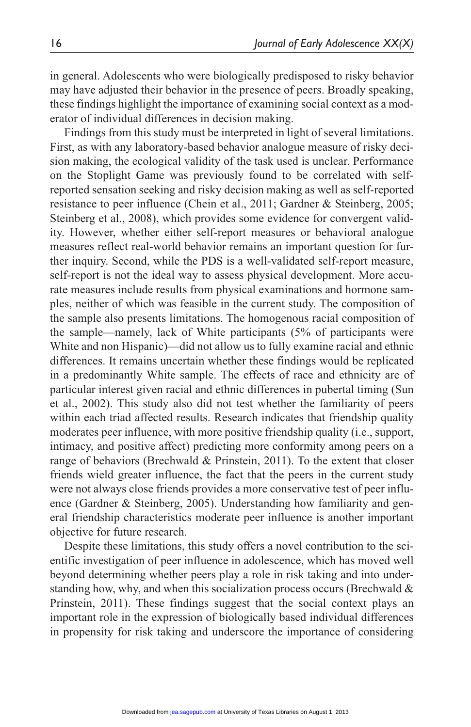in general. Adolescents who were biologically predisposed to risky behavior may have adjusted their behavior in the presence of peers. Broadly speaking, these findings highlight the importance of examining social context as a moderator of individual differences in decision making.

Findings from this study must be interpreted in light of several limitations. First, as with any laboratory-based behavior analogue measure of risky decision making, the ecological validity of the task used is unclear. Performance on the Stoplight Game was previously found to be correlated with selfreported sensation seeking and risky decision making as well as self-reported resistance to peer influence (Chein et al., 2011; Gardner & Steinberg, 2005; Steinberg et al., 2008), which provides some evidence for convergent validity. However, whether either self-report measures or behavioral analogue measures reflect real-world behavior remains an important question for further inquiry. Second, while the PDS is a well-validated self-report measure, self-report is not the ideal way to assess physical development. More accurate measures include results from physical examinations and hormone samples, neither of which was feasible in the current study. The composition of the sample also presents limitations. The homogenous racial composition of the sample—namely, lack of White participants (5% of participants were White and non Hispanic)—did not allow us to fully examine racial and ethnic differences. It remains uncertain whether these findings would be replicated in a predominantly White sample. The effects of race and ethnicity are of particular interest given racial and ethnic differences in pubertal timing (Sun et al., 2002). This study also did not test whether the familiarity of peers within each triad affected results. Research indicates that friendship quality moderates peer influence, with more positive friendship quality (i.e., support, intimacy, and positive affect) predicting more conformity among peers on a range of behaviors (Brechwald & Prinstein, 2011). To the extent that closer friends wield greater influence, the fact that the peers in the current study were not always close friends provides a more conservative test of peer influence (Gardner & Steinberg, 2005). Understanding how familiarity and general friendship characteristics moderate peer influence is another important objective for future research.

Despite these limitations, this study offers a novel contribution to the scientific investigation of peer influence in adolescence, which has moved well beyond determining whether peers play a role in risk taking and into understanding how, why, and when this socialization process occurs (Brechwald  $\&$ Prinstein, 2011). These findings suggest that the social context plays an important role in the expression of biologically based individual differences in propensity for risk taking and underscore the importance of considering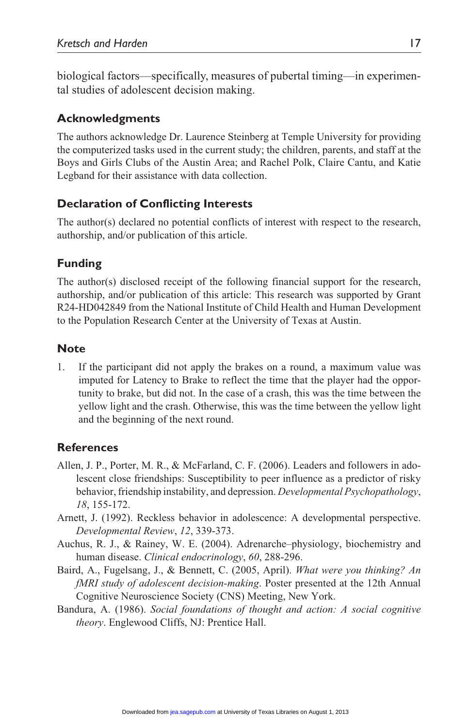biological factors—specifically, measures of pubertal timing—in experimental studies of adolescent decision making.

#### **Acknowledgments**

The authors acknowledge Dr. Laurence Steinberg at Temple University for providing the computerized tasks used in the current study; the children, parents, and staff at the Boys and Girls Clubs of the Austin Area; and Rachel Polk, Claire Cantu, and Katie Legband for their assistance with data collection.

#### **Declaration of Conflicting Interests**

The author(s) declared no potential conflicts of interest with respect to the research, authorship, and/or publication of this article.

## **Funding**

The author(s) disclosed receipt of the following financial support for the research, authorship, and/or publication of this article: This research was supported by Grant R24-HD042849 from the National Institute of Child Health and Human Development to the Population Research Center at the University of Texas at Austin.

#### **Note**

1. If the participant did not apply the brakes on a round, a maximum value was imputed for Latency to Brake to reflect the time that the player had the opportunity to brake, but did not. In the case of a crash, this was the time between the yellow light and the crash. Otherwise, this was the time between the yellow light and the beginning of the next round.

## **References**

- Allen, J. P., Porter, M. R., & McFarland, C. F. (2006). Leaders and followers in adolescent close friendships: Susceptibility to peer influence as a predictor of risky behavior, friendship instability, and depression. *Developmental Psychopathology*, *18*, 155-172.
- Arnett, J. (1992). Reckless behavior in adolescence: A developmental perspective. *Developmental Review*, *12*, 339-373.
- Auchus, R. J., & Rainey, W. E. (2004). Adrenarche–physiology, biochemistry and human disease. *Clinical endocrinology*, *60*, 288-296.
- Baird, A., Fugelsang, J., & Bennett, C. (2005, April). *What were you thinking? An fMRI study of adolescent decision-making*. Poster presented at the 12th Annual Cognitive Neuroscience Society (CNS) Meeting, New York.
- Bandura, A. (1986). *Social foundations of thought and action: A social cognitive theory*. Englewood Cliffs, NJ: Prentice Hall.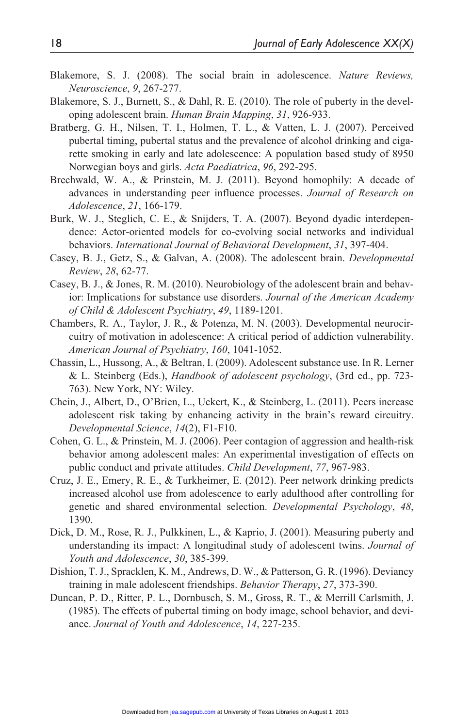- Blakemore, S. J. (2008). The social brain in adolescence. *Nature Reviews, Neuroscience*, *9*, 267-277.
- Blakemore, S. J., Burnett, S., & Dahl, R. E. (2010). The role of puberty in the developing adolescent brain. *Human Brain Mapping*, *31*, 926-933.
- Bratberg, G. H., Nilsen, T. I., Holmen, T. L., & Vatten, L. J. (2007). Perceived pubertal timing, pubertal status and the prevalence of alcohol drinking and cigarette smoking in early and late adolescence: A population based study of 8950 Norwegian boys and girls. *Acta Paediatrica*, *96*, 292-295.
- Brechwald, W. A., & Prinstein, M. J. (2011). Beyond homophily: A decade of advances in understanding peer influence processes. *Journal of Research on Adolescence*, *21*, 166-179.
- Burk, W. J., Steglich, C. E., & Snijders, T. A. (2007). Beyond dyadic interdependence: Actor-oriented models for co-evolving social networks and individual behaviors. *International Journal of Behavioral Development*, *31*, 397-404.
- Casey, B. J., Getz, S., & Galvan, A. (2008). The adolescent brain. *Developmental Review*, *28*, 62-77.
- Casey, B. J., & Jones, R. M. (2010). Neurobiology of the adolescent brain and behavior: Implications for substance use disorders. *Journal of the American Academy of Child & Adolescent Psychiatry*, *49*, 1189-1201.
- Chambers, R. A., Taylor, J. R., & Potenza, M. N. (2003). Developmental neurocircuitry of motivation in adolescence: A critical period of addiction vulnerability. *American Journal of Psychiatry*, *160*, 1041-1052.
- Chassin, L., Hussong, A., & Beltran, I. (2009). Adolescent substance use. In R. Lerner & L. Steinberg (Eds.), *Handbook of adolescent psychology*, (3rd ed., pp. 723- 763). New York, NY: Wiley.
- Chein, J., Albert, D., O'Brien, L., Uckert, K., & Steinberg, L. (2011). Peers increase adolescent risk taking by enhancing activity in the brain's reward circuitry. *Developmental Science*, *14*(2), F1-F10.
- Cohen, G. L., & Prinstein, M. J. (2006). Peer contagion of aggression and health-risk behavior among adolescent males: An experimental investigation of effects on public conduct and private attitudes. *Child Development*, *77*, 967-983.
- Cruz, J. E., Emery, R. E., & Turkheimer, E. (2012). Peer network drinking predicts increased alcohol use from adolescence to early adulthood after controlling for genetic and shared environmental selection. *Developmental Psychology*, *48*, 1390.
- Dick, D. M., Rose, R. J., Pulkkinen, L., & Kaprio, J. (2001). Measuring puberty and understanding its impact: A longitudinal study of adolescent twins. *Journal of Youth and Adolescence*, *30*, 385-399.
- Dishion, T. J., Spracklen, K. M., Andrews, D. W., & Patterson, G. R. (1996). Deviancy training in male adolescent friendships. *Behavior Therapy*, *27*, 373-390.
- Duncan, P. D., Ritter, P. L., Dornbusch, S. M., Gross, R. T., & Merrill Carlsmith, J. (1985). The effects of pubertal timing on body image, school behavior, and deviance. *Journal of Youth and Adolescence*, *14*, 227-235.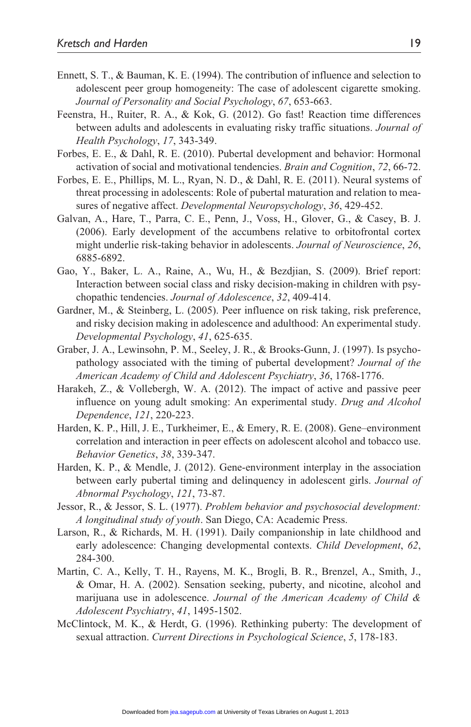- Ennett, S. T., & Bauman, K. E. (1994). The contribution of influence and selection to adolescent peer group homogeneity: The case of adolescent cigarette smoking. *Journal of Personality and Social Psychology*, *67*, 653-663.
- Feenstra, H., Ruiter, R. A., & Kok, G. (2012). Go fast! Reaction time differences between adults and adolescents in evaluating risky traffic situations. *Journal of Health Psychology*, *17*, 343-349.
- Forbes, E. E., & Dahl, R. E. (2010). Pubertal development and behavior: Hormonal activation of social and motivational tendencies. *Brain and Cognition*, *72*, 66-72.
- Forbes, E. E., Phillips, M. L., Ryan, N. D., & Dahl, R. E. (2011). Neural systems of threat processing in adolescents: Role of pubertal maturation and relation to measures of negative affect. *Developmental Neuropsychology*, *36*, 429-452.
- Galvan, A., Hare, T., Parra, C. E., Penn, J., Voss, H., Glover, G., & Casey, B. J. (2006). Early development of the accumbens relative to orbitofrontal cortex might underlie risk-taking behavior in adolescents. *Journal of Neuroscience*, *26*, 6885-6892.
- Gao, Y., Baker, L. A., Raine, A., Wu, H., & Bezdjian, S. (2009). Brief report: Interaction between social class and risky decision-making in children with psychopathic tendencies. *Journal of Adolescence*, *32*, 409-414.
- Gardner, M., & Steinberg, L. (2005). Peer influence on risk taking, risk preference, and risky decision making in adolescence and adulthood: An experimental study. *Developmental Psychology*, *41*, 625-635.
- Graber, J. A., Lewinsohn, P. M., Seeley, J. R., & Brooks-Gunn, J. (1997). Is psychopathology associated with the timing of pubertal development? *Journal of the American Academy of Child and Adolescent Psychiatry*, *36*, 1768-1776.
- Harakeh, Z., & Vollebergh, W. A. (2012). The impact of active and passive peer influence on young adult smoking: An experimental study. *Drug and Alcohol Dependence*, *121*, 220-223.
- Harden, K. P., Hill, J. E., Turkheimer, E., & Emery, R. E. (2008). Gene–environment correlation and interaction in peer effects on adolescent alcohol and tobacco use. *Behavior Genetics*, *38*, 339-347.
- Harden, K. P., & Mendle, J. (2012). Gene-environment interplay in the association between early pubertal timing and delinquency in adolescent girls. *Journal of Abnormal Psychology*, *121*, 73-87.
- Jessor, R., & Jessor, S. L. (1977). *Problem behavior and psychosocial development: A longitudinal study of youth*. San Diego, CA: Academic Press.
- Larson, R., & Richards, M. H. (1991). Daily companionship in late childhood and early adolescence: Changing developmental contexts. *Child Development*, *62*, 284-300.
- Martin, C. A., Kelly, T. H., Rayens, M. K., Brogli, B. R., Brenzel, A., Smith, J., & Omar, H. A. (2002). Sensation seeking, puberty, and nicotine, alcohol and marijuana use in adolescence. *Journal of the American Academy of Child & Adolescent Psychiatry*, *41*, 1495-1502.
- McClintock, M. K., & Herdt, G. (1996). Rethinking puberty: The development of sexual attraction. *Current Directions in Psychological Science*, *5*, 178-183.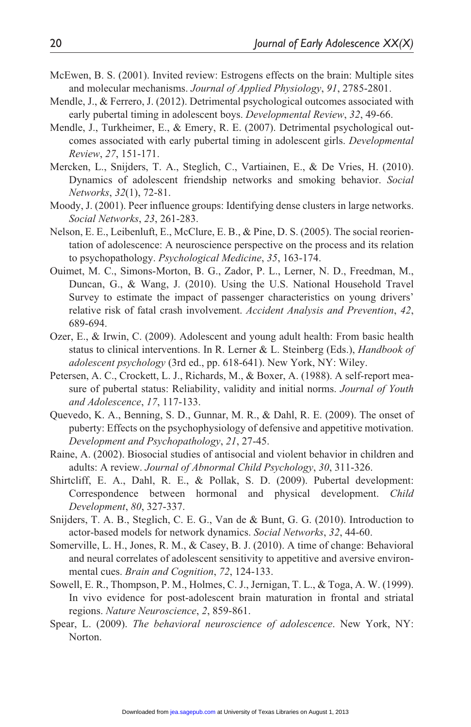- McEwen, B. S. (2001). Invited review: Estrogens effects on the brain: Multiple sites and molecular mechanisms. *Journal of Applied Physiology*, *91*, 2785-2801.
- Mendle, J., & Ferrero, J. (2012). Detrimental psychological outcomes associated with early pubertal timing in adolescent boys. *Developmental Review*, *32*, 49-66.
- Mendle, J., Turkheimer, E., & Emery, R. E. (2007). Detrimental psychological outcomes associated with early pubertal timing in adolescent girls. *Developmental Review*, *27*, 151-171.
- Mercken, L., Snijders, T. A., Steglich, C., Vartiainen, E., & De Vries, H. (2010). Dynamics of adolescent friendship networks and smoking behavior. *Social Networks*, *32*(1), 72-81.
- Moody, J. (2001). Peer influence groups: Identifying dense clusters in large networks. *Social Networks*, *23*, 261-283.
- Nelson, E. E., Leibenluft, E., McClure, E. B., & Pine, D. S. (2005). The social reorientation of adolescence: A neuroscience perspective on the process and its relation to psychopathology. *Psychological Medicine*, *35*, 163-174.
- Ouimet, M. C., Simons-Morton, B. G., Zador, P. L., Lerner, N. D., Freedman, M., Duncan, G., & Wang, J. (2010). Using the U.S. National Household Travel Survey to estimate the impact of passenger characteristics on young drivers' relative risk of fatal crash involvement. *Accident Analysis and Prevention*, *42*, 689-694.
- Ozer, E., & Irwin, C. (2009). Adolescent and young adult health: From basic health status to clinical interventions. In R. Lerner & L. Steinberg (Eds.), *Handbook of adolescent psychology* (3rd ed., pp. 618-641). New York, NY: Wiley.
- Petersen, A. C., Crockett, L. J., Richards, M., & Boxer, A. (1988). A self-report measure of pubertal status: Reliability, validity and initial norms. *Journal of Youth and Adolescence*, *17*, 117-133.
- Quevedo, K. A., Benning, S. D., Gunnar, M. R., & Dahl, R. E. (2009). The onset of puberty: Effects on the psychophysiology of defensive and appetitive motivation. *Development and Psychopathology*, *21*, 27-45.
- Raine, A. (2002). Biosocial studies of antisocial and violent behavior in children and adults: A review. *Journal of Abnormal Child Psychology*, *30*, 311-326.
- Shirtcliff, E. A., Dahl, R. E., & Pollak, S. D. (2009). Pubertal development: Correspondence between hormonal and physical development. *Child Development*, *80*, 327-337.
- Snijders, T. A. B., Steglich, C. E. G., Van de & Bunt, G. G. (2010). Introduction to actor-based models for network dynamics. *Social Networks*, *32*, 44-60.
- Somerville, L. H., Jones, R. M., & Casey, B. J. (2010). A time of change: Behavioral and neural correlates of adolescent sensitivity to appetitive and aversive environmental cues. *Brain and Cognition*, *72*, 124-133.
- Sowell, E. R., Thompson, P. M., Holmes, C. J., Jernigan, T. L., & Toga, A. W. (1999). In vivo evidence for post-adolescent brain maturation in frontal and striatal regions. *Nature Neuroscience*, *2*, 859-861.
- Spear, L. (2009). *The behavioral neuroscience of adolescence*. New York, NY: Norton.